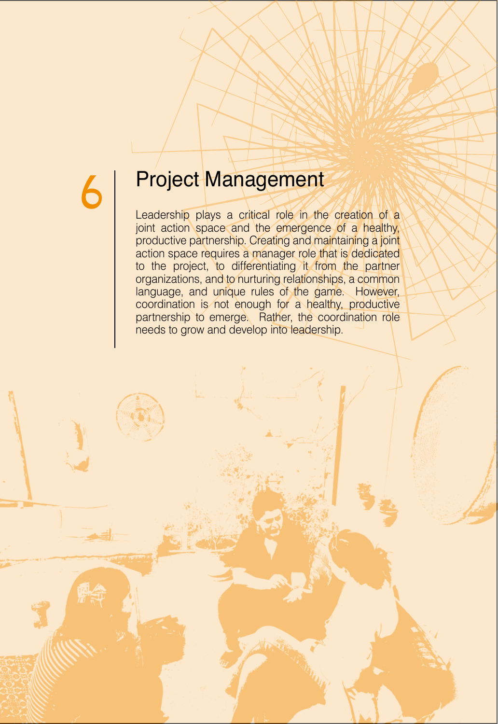## **6 Project Management**

Leadership plays a critical role in the creation of a joint action space and the emergence of a healthy, productive partnership. Creating and maintaining a joint action space requires a manager role that is dedicated to the project, to differentiating it from the partner organizations, and to nurturing relationships, a common language, and unique rules of the game. However, coordination is not enough for a healthy, productive partnership to emerge. Rather, the coordination role needs to grow and develop into leadership.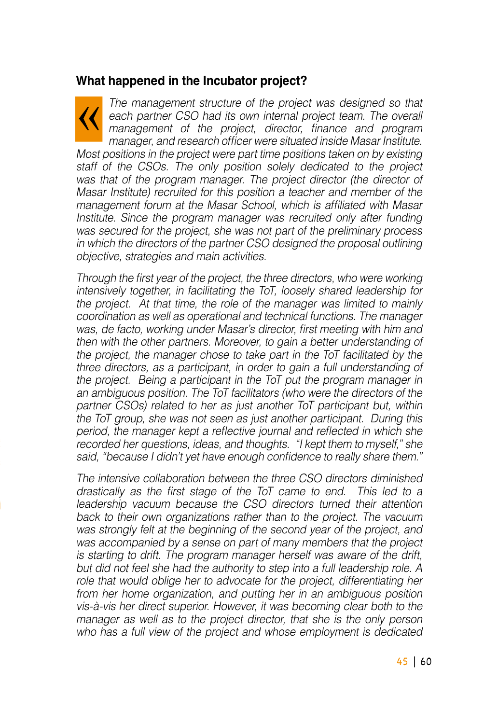#### **What happened in the Incubator project?**

The management structure of the project was designed so that  $\cal U$ each partner CSO had its own internal project team. The overall management of the project, director, finance and program manager, and research officer were situated inside Masar Institute. Most positions in the project were part time positions taken on by existing staff of the CSOs. The only position solely dedicated to the project was that of the program manager. The project director (the director of Masar Institute) recruited for this position a teacher and member of the management forum at the Masar School, which is affiliated with Masar Institute. Since the program manager was recruited only after funding was secured for the project, she was not part of the preliminary process in which the directors of the partner CSO designed the proposal outlining objective, strategies and main activities.

Through the first year of the project, the three directors, who were working intensively together, in facilitating the ToT, loosely shared leadership for the project. At that time, the role of the manager was limited to mainly coordination as well as operational and technical functions. The manager was, de facto, working under Masar's director, first meeting with him and then with the other partners. Moreover, to gain a better understanding of the project, the manager chose to take part in the ToT facilitated by the three directors, as a participant, in order to gain a full understanding of the project. Being a participant in the ToT put the program manager in an ambiguous position. The ToT facilitators (who were the directors of the partner CSOs) related to her as just another ToT participant but, within the ToT group, she was not seen as just another participant. During this period, the manager kept a reflective journal and reflected in which she recorded her questions, ideas, and thoughts. "I kept them to myself," she said, "because I didn't yet have enough confidence to really share them."

The intensive collaboration between the three CSO directors diminished drastically as the first stage of the  $\overline{I}$  came to end. This led to a leadership vacuum because the CSO directors turned their attention back to their own organizations rather than to the project. The vacuum was strongly felt at the beginning of the second year of the project, and was accompanied by a sense on part of many members that the project is starting to drift. The program manager herself was aware of the drift. but did not feel she had the authority to step into a full leadership role. A role that would oblige her to advocate for the project, differentiating her from her home organization, and putting her in an ambiguous position vis-à-vis her direct superior. However, it was becoming clear both to the manager as well as to the project director, that she is the only person who has a full view of the project and whose employment is dedicated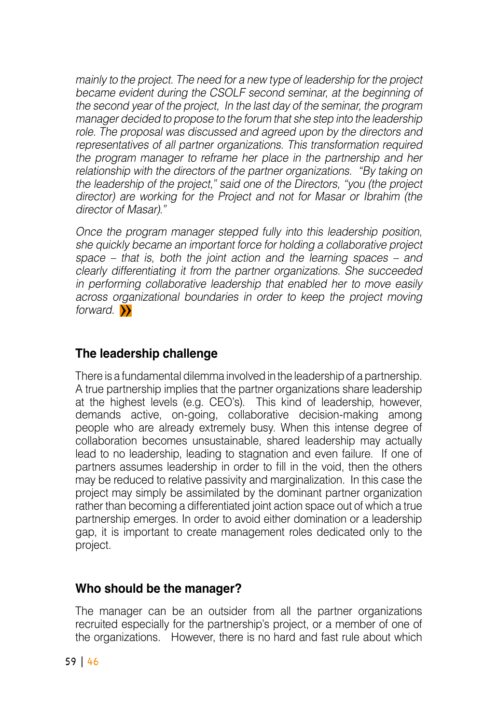mainly to the project. The need for a new type of leadership for the project became evident during the CSOLF second seminar, at the beginning of the second year of the project. In the last day of the seminar, the program manager decided to propose to the forum that she step into the leadership role. The proposal was discussed and agreed upon by the directors and representatives of all partner organizations. This transformation required the program manager to reframe her place in the partnership and her relationship with the directors of the partner organizations. "By taking on the leadership of the project," said one of the Directors, "vou (the project director) are working for the Project and not for Masar or Ibrahim (the director of Masar)."

Once the program manager stepped fully into this leadership position, she quickly became an important force for holding a collaborative project space – that is, both the joint action and the learning spaces – and clearly differentiating it from the partner organizations. She succeeded in performing collaborative leadership that enabled her to move easily across organizational boundaries in order to keep the project moving forward.  $\rightarrow$ 

### **challenge leadership The**

There is a fundamental dilemma involved in the leadership of a partnership. A true partnership implies that the partner organizations share leadership at the highest levels (e.g. CEO's). This kind of leadership, however, demands active, on-going, collaborative decision-making among people who are already extremely busy. When this intense degree of collaboration becomes unsustainable, shared leadership may actually lead to no leadership, leading to stagnation and even failure. If one of partners assumes leadership in order to fill in the void, then the others may be reduced to relative passivity and marginalization. In this case the project may simply be assimilated by the dominant partner organization rather than becoming a differentiated joint action space out of which a true partnership emerges. In order to avoid either domination or a leadership gap, it is important to create management roles dedicated only to the project.

#### **Who should be the manager?**

The manager can be an outsider from all the partner organizations recruited especially for the partnership's project, or a member of one of the organizations. However, there is no hard and fast rule about which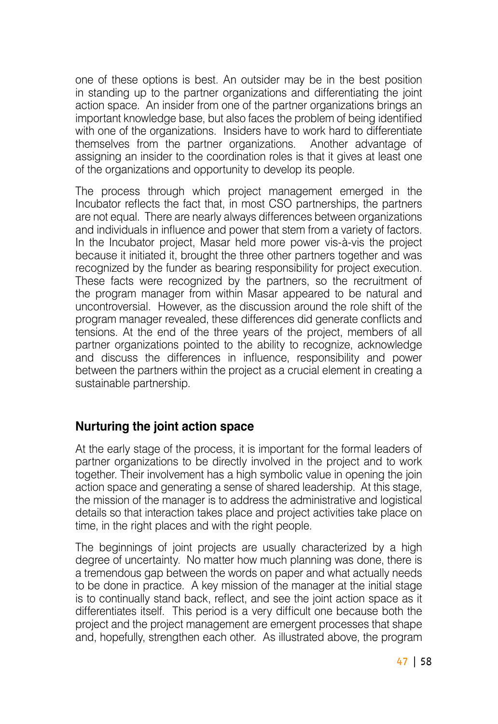one of these options is best. An outsider may be in the best position in standing up to the partner organizations and differentiating the joint action space. An insider from one of the partner organizations brings an important knowledge base, but also faces the problem of being identified with one of the organizations. Insiders have to work hard to differentiate themselves from the partner organizations. Another advantage of themselves from the partner organizations. assigning an insider to the coordination roles is that it gives at least one of the organizations and opportunity to develop its people.

The process through which project management emerged in the Incubator reflects the fact that, in most CSO partnerships, the partners are not equal. There are nearly always differences between organizations and individuals in influence and power that stem from a variety of factors. In the Incubator project. Masar held more power vis-à-vis the project because it initiated it, brought the three other partners together and was recognized by the funder as bearing responsibility for project execution. These facts were recognized by the partners, so the recruitment of the program manager from within Masar appeared to be natural and uncontroversial. However, as the discussion around the role shift of the program manager revealed, these differences did generate conflicts and tensions. At the end of the three years of the project, members of all partner organizations pointed to the ability to recognize, acknowledge and discuss the differences in influence, responsibility and power between the partners within the project as a crucial element in creating a sustainable partnership.

#### **Nurturing the joint action space**

At the early stage of the process, it is important for the formal leaders of partner organizations to be directly involved in the project and to work together. Their involvement has a high symbolic value in opening the join action space and generating a sense of shared leadership. At this stage, the mission of the manager is to address the administrative and logistical details so that interaction takes place and project activities take place on time. in the right places and with the right people.

The beginnings of joint projects are usually characterized by a high degree of uncertainty. No matter how much planning was done, there is a tremendous gap between the words on paper and what actually needs to be done in practice. A key mission of the manager at the initial stage is to continually stand back, reflect, and see the joint action space as it differentiates itself. This period is a very difficult one because both the project and the project management are emergent processes that shape and, hopefully, strengthen each other. As illustrated above, the program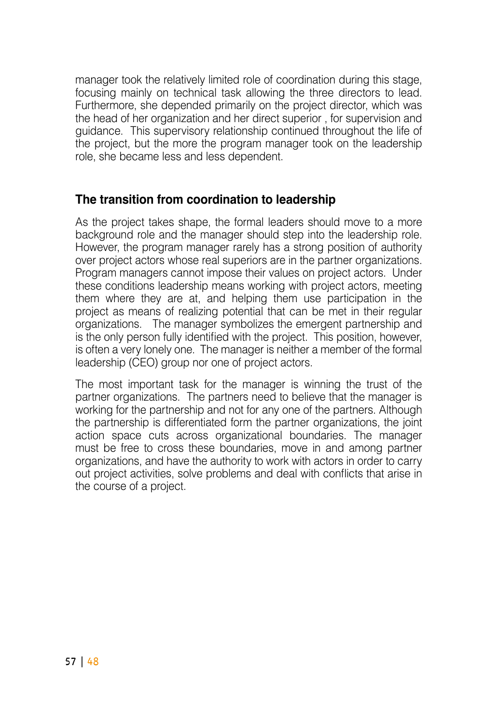manager took the relatively limited role of coordination during this stage. focusing mainly on technical task allowing the three directors to lead. Furthermore, she depended primarily on the project director, which was the head of her organization and her direct superior, for supervision and quidance. This supervisory relationship continued throughout the life of the project, but the more the program manager took on the leadership role, she became less and less dependent.

#### **The transition from coordination to leadership**

As the project takes shape, the formal leaders should move to a more background role and the manager should step into the leadership role. However, the program manager rarely has a strong position of authority over project actors whose real superiors are in the partner organizations. Program managers cannot impose their values on project actors. Under these conditions leadership means working with project actors, meeting them where they are at, and helping them use participation in the project as means of realizing potential that can be met in their regular organizations. The manager symbolizes the emergent partnership and is the only person fully identified with the project. This position, however, is often a very lonely one. The manager is neither a member of the formal leadership (CEO) group nor one of project actors.

The most important task for the manager is winning the trust of the partner organizations. The partners need to believe that the manager is working for the partnership and not for any one of the partners. Although the partnership is differentiated form the partner organizations, the joint action space cuts across organizational boundaries. The manager must be free to cross these boundaries, move in and among partner organizations, and have the authority to work with actors in order to carry out project activities, solve problems and deal with conflicts that arise in the course of a project.